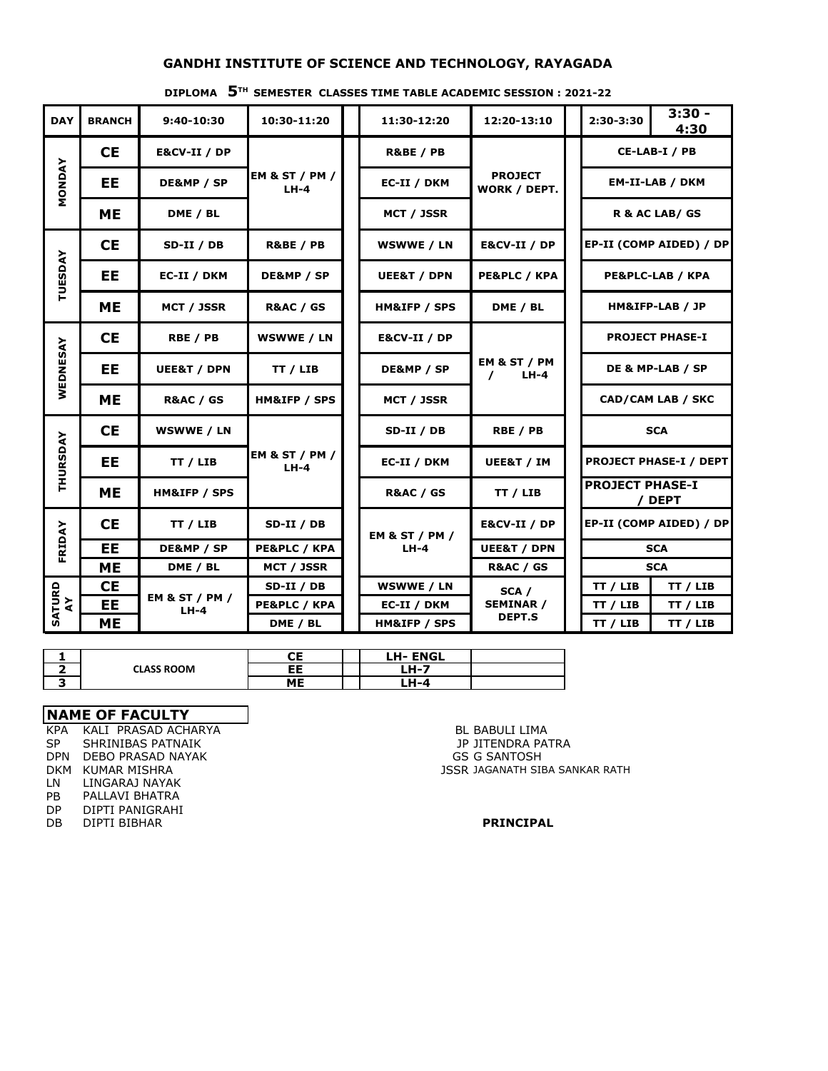## **GANDHI INSTITUTE OF SCIENCE AND TECHNOLOGY, RAYAGADA**

#### **DIPLOMA 5TH SEMESTER CLASSES TIME TABLE ACADEMIC SESSION : 2021-22**

| <b>DAY</b>     | <b>BRANCH</b>           | 9:40-10:30                          | 10:30-11:20                         |                      | 11:30-12:20               | 12:20-13:10                        |  | 2:30-3:30                                    | $3:30 -$<br>4:30              |  |
|----------------|-------------------------|-------------------------------------|-------------------------------------|----------------------|---------------------------|------------------------------------|--|----------------------------------------------|-------------------------------|--|
|                | <b>CE</b>               | E&CV-II / DP                        |                                     | <b>R&amp;BE / PB</b> |                           |                                    |  | CE-LAB-I / PB                                |                               |  |
| <b>MONDAY</b>  | EE                      | DE&MP / SP                          | <b>EM &amp; ST / PM /</b><br>$LH-4$ |                      | EC-II / DKM               | <b>PROJECT</b><br>WORK / DEPT.     |  | <b>EM-II-LAB / DKM</b>                       |                               |  |
|                | MЕ                      | DME / BL                            |                                     |                      | MCT / JSSR                |                                    |  | R & AC LAB/ GS                               |                               |  |
|                | <b>CE</b>               | SD-II / DB                          | <b>R&amp;BE / PB</b>                |                      | WSWWE / LN                | E&CV-II / DP                       |  | EP-II (COMP AIDED) / DP                      |                               |  |
| <b>TUESDAY</b> | <b>EE</b>               | EC-II / DKM                         | DE&MP / SP                          |                      | <b>UEE&amp;T / DPN</b>    | PE&PLC / KPA                       |  |                                              | PE&PLC-LAB / KPA              |  |
|                | <b>ME</b>               | MCT / JSSR                          | <b>R&amp;AC / GS</b>                |                      | HM&IFP / SPS              | DME / BL                           |  | HM&IFP-LAB / JP                              |                               |  |
|                | <b>CE</b>               | RBE / PB                            | WSWWE / LN                          |                      | <b>E&amp;CV-II / DP</b>   | EM & ST / PM<br>$LH-4$<br>$\prime$ |  |                                              | <b>PROJECT PHASE-I</b>        |  |
| WEDNESAY       | EE                      | <b>UEE&amp;T / DPN</b>              | TT / LIB                            |                      | DE&MP / SP                |                                    |  | DE & MP-LAB / SP<br><b>CAD/CAM LAB / SKC</b> |                               |  |
|                | <b>ME</b>               | <b>R&amp;AC / GS</b>                | HM&IFP / SPS                        |                      | MCT / JSSR                |                                    |  |                                              |                               |  |
|                | <b>CE</b><br>WSWWE / LN |                                     |                                     |                      | $SD-II / DB$              | RBE / PB                           |  | <b>SCA</b>                                   |                               |  |
| THURSDAY       | <b>EE</b>               | TT / LIB                            | <b>EM &amp; ST / PM /</b><br>$LH-4$ |                      | EC-II / DKM               | UEE&T / IM                         |  |                                              | <b>PROJECT PHASE-I / DEPT</b> |  |
|                | <b>ME</b>               | HM&IFP / SPS                        |                                     |                      | <b>R&amp;AC / GS</b>      | TT / LIB                           |  | <b>PROJECT PHASE-I</b>                       | / DEPT                        |  |
| FRIDAY         | <b>CE</b>               | TT / LIB                            | SD-II / DB                          |                      | <b>EM &amp; ST / PM /</b> | E&CV-II / DP                       |  |                                              | EP-II (COMP AIDED) / DP       |  |
|                | EE                      | DE&MP / SP                          | <b>PE&amp;PLC / KPA</b>             |                      | $LH-4$                    | <b>UEE&amp;T / DPN</b>             |  | <b>SCA</b>                                   |                               |  |
|                | <b>ME</b>               | DME / BL                            | <b>MCT / JSSR</b>                   |                      |                           | <b>R&amp;AC / GS</b>               |  |                                              | <b>SCA</b>                    |  |
|                | <b>CE</b>               |                                     | SD-II / DB                          |                      | <b>WSWWE / LN</b>         | SCA /                              |  | TT / LIB                                     | TT / LIB                      |  |
|                | <b>EE</b>               | <b>EM &amp; ST / PM /</b><br>$LH-4$ | PE&PLC / KPA                        |                      | EC-II / DKM               | <b>SEMINAR /</b>                   |  | TT / LIB                                     | TT / LIB                      |  |
| SATURD<br>AY   | <b>ME</b>               |                                     | DME / BL                            |                      | HM&IFP / SPS              | <b>DEPT.S</b>                      |  | TT / LIB                                     | TT / LIB                      |  |

|                   | ΛЕ.<br>◡∟ | <b>ENGL</b><br>LH-I |  |
|-------------------|-----------|---------------------|--|
| <b>CLASS ROOM</b> | cc.<br>cc | . .<br>--<br>- 17   |  |
|                   | MЕ        | .<br>1-4            |  |

### **NAME OF FACULTY**

ka Kali prasad acharya da an an san an t-aisteoir an t-aisteoir an t-aisteoir an t-aisteoir an t-aisteoir an t-<br>Bl Babuli Lima<br>Bl Babuli Lima an t-aisteoir an t-aisteoir an t-aisteoir an t-aisteoir an t-aisteoir an t-aiste SP SHRINIBAS PATNAIK JP JITENDRA PATRA DPN DEBO PRASAD NAYAK GERAL GERAL GERAL GERAL GERANTOSH LN LINGARAJ NAYAK PB PALLAVI BHATRA DP DIPTI PANIGRAHI DB DIPTI BIBHAR **PRINCIPAL**

DKM KUMAR MISHRA **JSSR JAGANATH SIBA SANKAR RATH**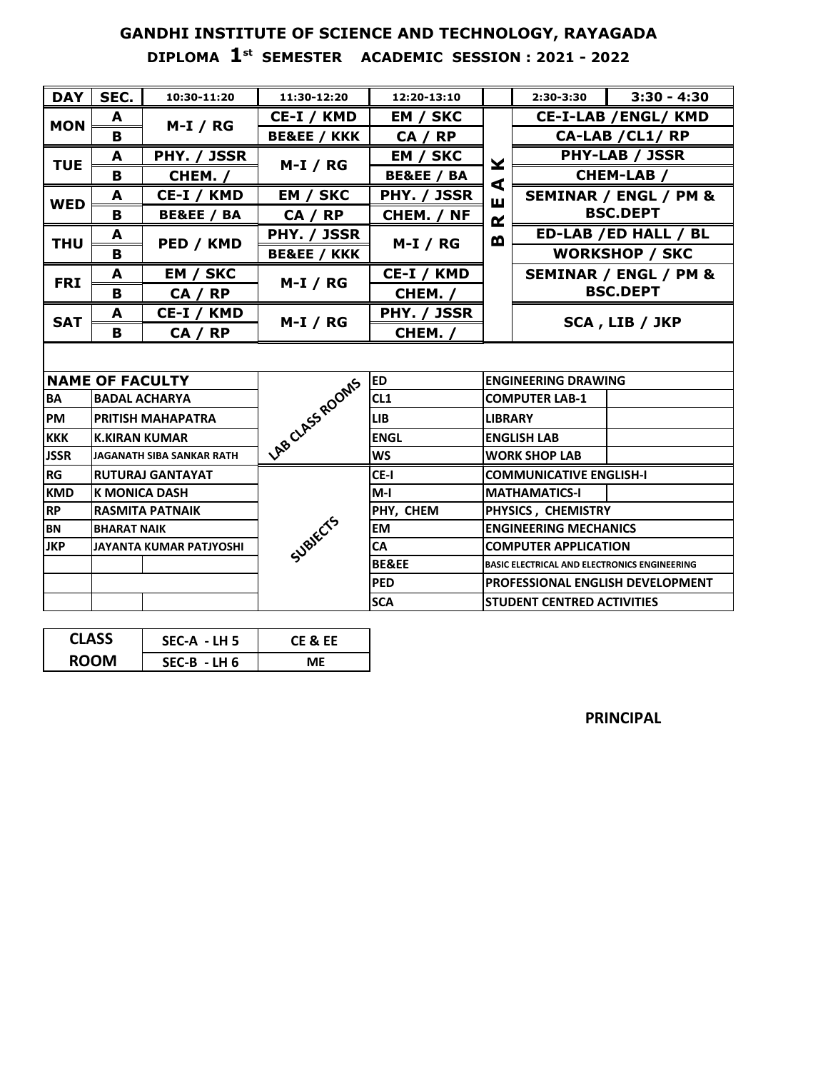# **GANDHI INSTITUTE OF SCIENCE AND TECHNOLOGY, RAYAGADA DIPLOMA 1st SEMESTER ACADEMIC SESSION : 2021 - 2022**

| <b>DAY</b>  | SEC.                           | 10:30-11:20               | 11:30-12:20            | 12:20-13:10      |                              | 2:30-3:30                                           | $3:30 - 4:30$         |  |  |
|-------------|--------------------------------|---------------------------|------------------------|------------------|------------------------------|-----------------------------------------------------|-----------------------|--|--|
|             | A                              |                           | CE-I / KMD             | EM / SKC         |                              | <b>CE-I-LAB /ENGL/ KMD</b>                          |                       |  |  |
| <b>MON</b>  | B                              | $M-I / RG$                | <b>BE&amp;EE / KKK</b> | CA / RP          |                              | CA-LAB / CL1/RP                                     |                       |  |  |
|             | A                              | PHY. / JSSR               |                        | EM / SKC         |                              | <b>PHY-LAB / JSSR</b>                               |                       |  |  |
| <b>TUE</b>  | в                              | CHEM. /                   | $M-I / RG$             | BE&EE / BA       | ¥                            |                                                     | <b>CHEM-LAB /</b>     |  |  |
|             | A                              | CE-I / KMD                | EM / SKC               | PHY. / JSSR      | ⋖<br>ш                       | <b>SEMINAR / ENGL / PM &amp;</b>                    |                       |  |  |
| <b>WED</b>  | B                              | BE&EE / BA                | CA / RP                | CHEM. / NF       | $\alpha$                     |                                                     | <b>BSC.DEPT</b>       |  |  |
|             | A                              |                           | PHY. / JSSR            |                  | m                            | ED-LAB / ED HALL / BL                               |                       |  |  |
| <b>THU</b>  | в                              | PED / KMD                 | <b>BE&amp;EE / KKK</b> | $M-I / RG$       |                              |                                                     | <b>WORKSHOP / SKC</b> |  |  |
| <b>FRI</b>  | A                              | EM / SKC                  | $M-I / RG$             | CE-I / KMD       |                              |                                                     | SEMINAR / ENGL / PM & |  |  |
|             | B                              | CA / RP                   |                        | CHEM. /          |                              | <b>BSC.DEPT</b>                                     |                       |  |  |
| <b>SAT</b>  | A                              | CE-I / KMD                |                        | PHY. / JSSR      |                              | SCA, LIB / JKP                                      |                       |  |  |
|             | в                              | CA / RP                   | $M-I / RG$             | CHEM. /          |                              |                                                     |                       |  |  |
|             |                                |                           |                        |                  |                              |                                                     |                       |  |  |
|             | <b>NAME OF FACULTY</b>         |                           | LAB CLASS ROOMS        | <b>ED</b>        |                              | <b>ENGINEERING DRAWING</b>                          |                       |  |  |
| BA          |                                | <b>BADAL ACHARYA</b>      |                        | CL <sub>1</sub>  |                              | <b>COMPUTER LAB-1</b>                               |                       |  |  |
| <b>PM</b>   |                                | <b>PRITISH MAHAPATRA</b>  |                        | <b>LIB</b>       | <b>LIBRARY</b>               |                                                     |                       |  |  |
| <b>KKK</b>  | <b>K.KIRAN KUMAR</b>           |                           |                        | <b>ENGL</b>      |                              | <b>ENGLISH LAB</b>                                  |                       |  |  |
| <b>JSSR</b> |                                | JAGANATH SIBA SANKAR RATH |                        | <b>WS</b>        |                              | <b>WORK SHOP LAB</b>                                |                       |  |  |
| <b>RG</b>   |                                | <b>RUTURAJ GANTAYAT</b>   |                        | CE-I             |                              | <b>COMMUNICATIVE ENGLISH-I</b>                      |                       |  |  |
| <b>KMD</b>  | <b>K MONICA DASH</b>           |                           |                        | $M-I$            |                              | <b>MATHAMATICS-I</b>                                |                       |  |  |
| <b>RP</b>   | <b>RASMITA PATNAIK</b>         |                           |                        | PHY, CHEM        |                              | PHYSICS, CHEMISTRY                                  |                       |  |  |
| <b>BN</b>   | <b>BHARAT NAIK</b>             |                           |                        | <b>EM</b>        | <b>ENGINEERING MECHANICS</b> |                                                     |                       |  |  |
| <b>JKP</b>  | <b>JAYANTA KUMAR PATJYOSHI</b> |                           | Subjects               | <b>CA</b>        |                              | <b>COMPUTER APPLICATION</b>                         |                       |  |  |
|             |                                |                           |                        | <b>BE&amp;EE</b> |                              | <b>BASIC ELECTRICAL AND ELECTRONICS ENGINEERING</b> |                       |  |  |
|             |                                |                           |                        | <b>PED</b>       |                              | <b>PROFESSIONAL ENGLISH DEVELOPMENT</b>             |                       |  |  |
|             |                                |                           |                        | <b>SCA</b>       |                              | <b>STUDENT CENTRED ACTIVITIES</b>                   |                       |  |  |

| <b>CLASS</b> | $SEC-A - LH 5$ | CE & EE |  |  |
|--------------|----------------|---------|--|--|
| <b>ROOM</b>  | SEC-B - LH 6   | MF      |  |  |

**PRINCIPAL**